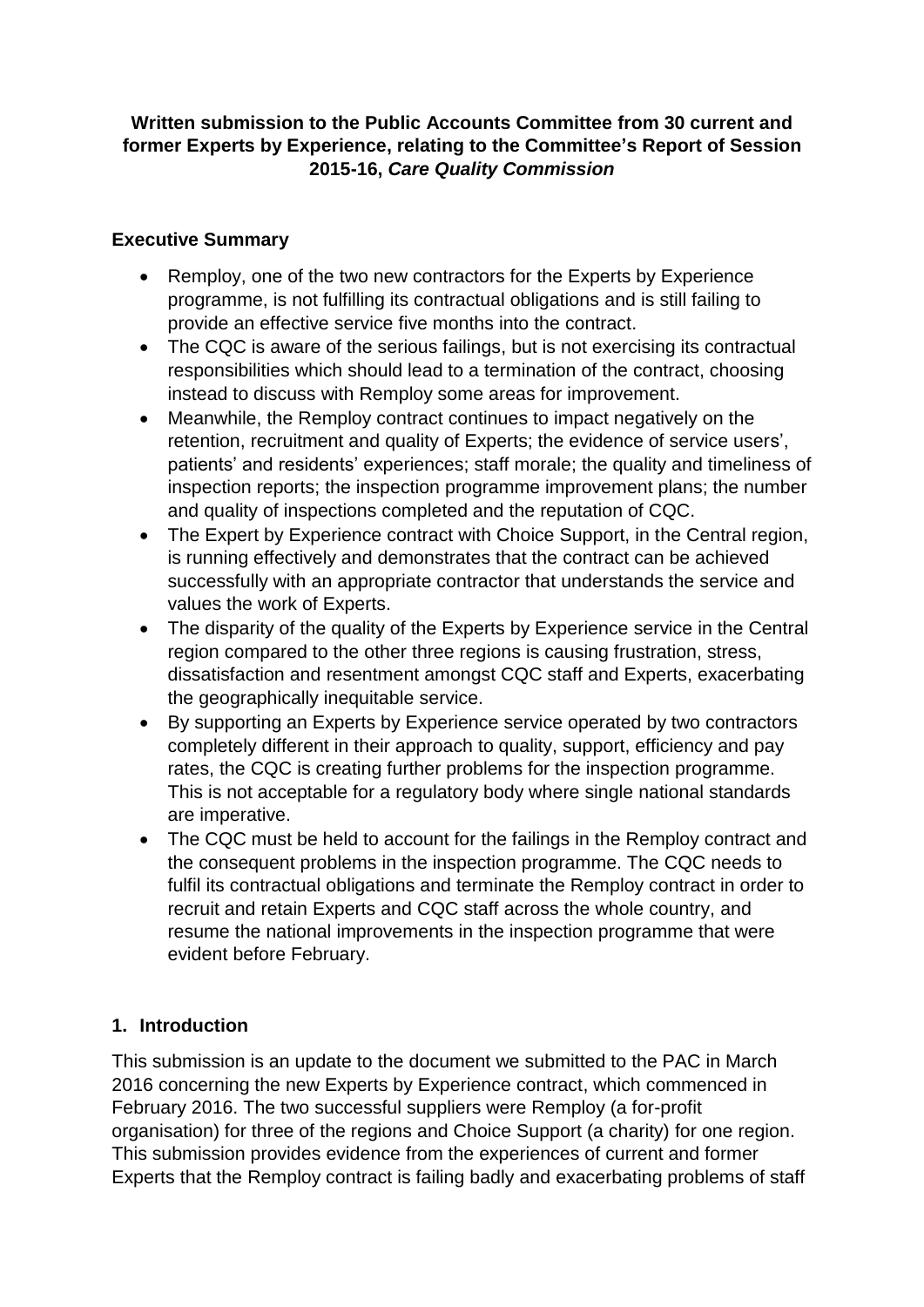### **Written submission to the Public Accounts Committee from 30 current and former Experts by Experience, relating to the Committee's Report of Session 2015-16,** *Care Quality Commission*

### **Executive Summary**

- programme, is not fulfilling its contractual obligations and is still failing to provide an effective service five months into the contract. • Remploy, one of the two new contractors for the Experts by Experience
- instead to discuss with Remploy some areas for improvement. • The CQC is aware of the serious failings, but is not exercising its contractual responsibilities which should lead to a termination of the contract, choosing
- Meanwhile, the Remploy contract continues to impact negatively on the retention, recruitment and quality of Experts; the evidence of service users', patients' and residents' experiences; staff morale; the quality and timeliness of inspection reports; the inspection programme improvement plans; the number and quality of inspections completed and the reputation of CQC.
- is running effectively and demonstrates that the contract can be achieved • The Expert by Experience contract with Choice Support, in the Central region, successfully with an appropriate contractor that understands the service and values the work of Experts.
- the geographically inequitable service. • The disparity of the quality of the Experts by Experience service in the Central region compared to the other three regions is causing frustration, stress, dissatisfaction and resentment amongst CQC staff and Experts, exacerbating
- By supporting an Experts by Experience service operated by two contractors completely different in their approach to quality, support, efficiency and pay rates, the CQC is creating further problems for the inspection programme. This is not acceptable for a regulatory body where single national standards are imperative.
- The CQC must be held to account for the failings in the Remploy contract and the consequent problems in the inspection programme. The CQC needs to fulfil its contractual obligations and terminate the Remploy contract in order to recruit and retain Experts and CQC staff across the whole country, and resume the national improvements in the inspection programme that were evident before February.

# **1. Introduction**

 This submission is an update to the document we submitted to the PAC in March organisation) for three of the regions and Choice Support (a charity) for one region. 2016 concerning the new Experts by Experience contract, which commenced in February 2016. The two successful suppliers were Remploy (a for-profit This submission provides evidence from the experiences of current and former Experts that the Remploy contract is failing badly and exacerbating problems of staff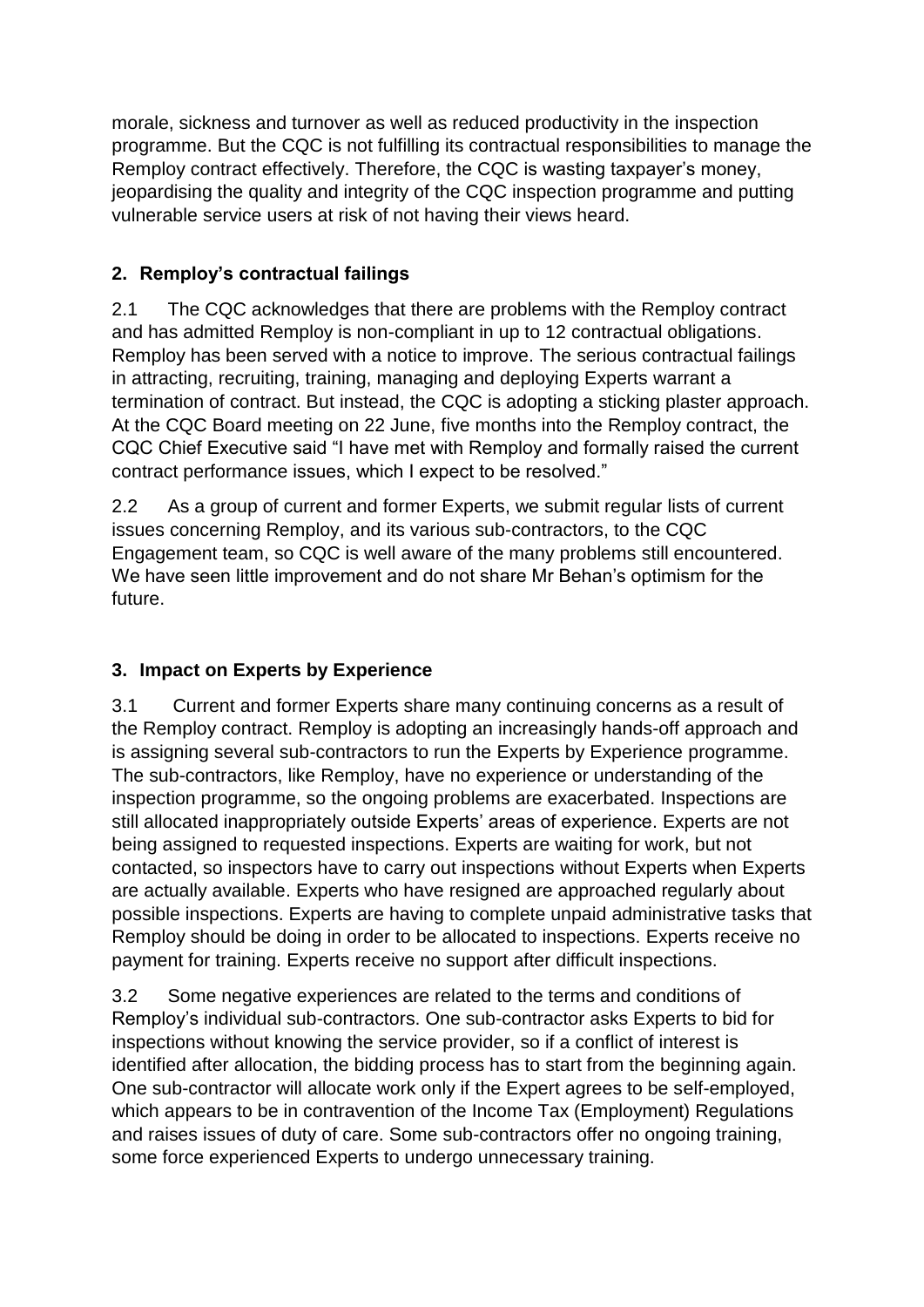programme. But the CQC is not fulfilling its contractual responsibilities to manage the Remploy contract effectively. Therefore, the CQC is wasting taxpayer's money, jeopardising the quality and integrity of the CQC inspection programme and putting vulnerable service users at risk of not having their views heard. morale, sickness and turnover as well as reduced productivity in the inspection

# **2. Remploy's contractual failings**

 $2.1$  termination of contract. But instead, the CQC is adopting a sticking plaster approach. At the CQC Board meeting on 22 June, five months into the Remploy contract, the The CQC acknowledges that there are problems with the Remploy contract and has admitted Remploy is non-compliant in up to 12 contractual obligations. Remploy has been served with a notice to improve. The serious contractual failings in attracting, recruiting, training, managing and deploying Experts warrant a CQC Chief Executive said "I have met with Remploy and formally raised the current contract performance issues, which I expect to be resolved."

 $2.2$  issues concerning Remploy, and its various sub-contractors, to the CQC Engagement team, so CQC is well aware of the many problems still encountered. We have seen little improvement and do not share Mr Behan's optimism for the As a group of current and former Experts, we submit regular lists of current future.

# **3. Impact on Experts by Experience**

 $3.1$  being assigned to requested inspections. Experts are waiting for work, but not contacted, so inspectors have to carry out inspections without Experts when Experts 3.1 Current and former Experts share many continuing concerns as a result of the Remploy contract. Remploy is adopting an increasingly hands-off approach and is assigning several sub-contractors to run the Experts by Experience programme. The sub-contractors, like Remploy, have no experience or understanding of the inspection programme, so the ongoing problems are exacerbated. Inspections are still allocated inappropriately outside Experts' areas of experience. Experts are not are actually available. Experts who have resigned are approached regularly about possible inspections. Experts are having to complete unpaid administrative tasks that Remploy should be doing in order to be allocated to inspections. Experts receive no payment for training. Experts receive no support after difficult inspections.

 $3.2$ Some negative experiences are related to the terms and conditions of Remploy's individual sub-contractors. One sub-contractor asks Experts to bid for inspections without knowing the service provider, so if a conflict of interest is identified after allocation, the bidding process has to start from the beginning again. One sub-contractor will allocate work only if the Expert agrees to be self-employed, which appears to be in contravention of the Income Tax (Employment) Regulations and raises issues of duty of care. Some sub-contractors offer no ongoing training, some force experienced Experts to undergo unnecessary training.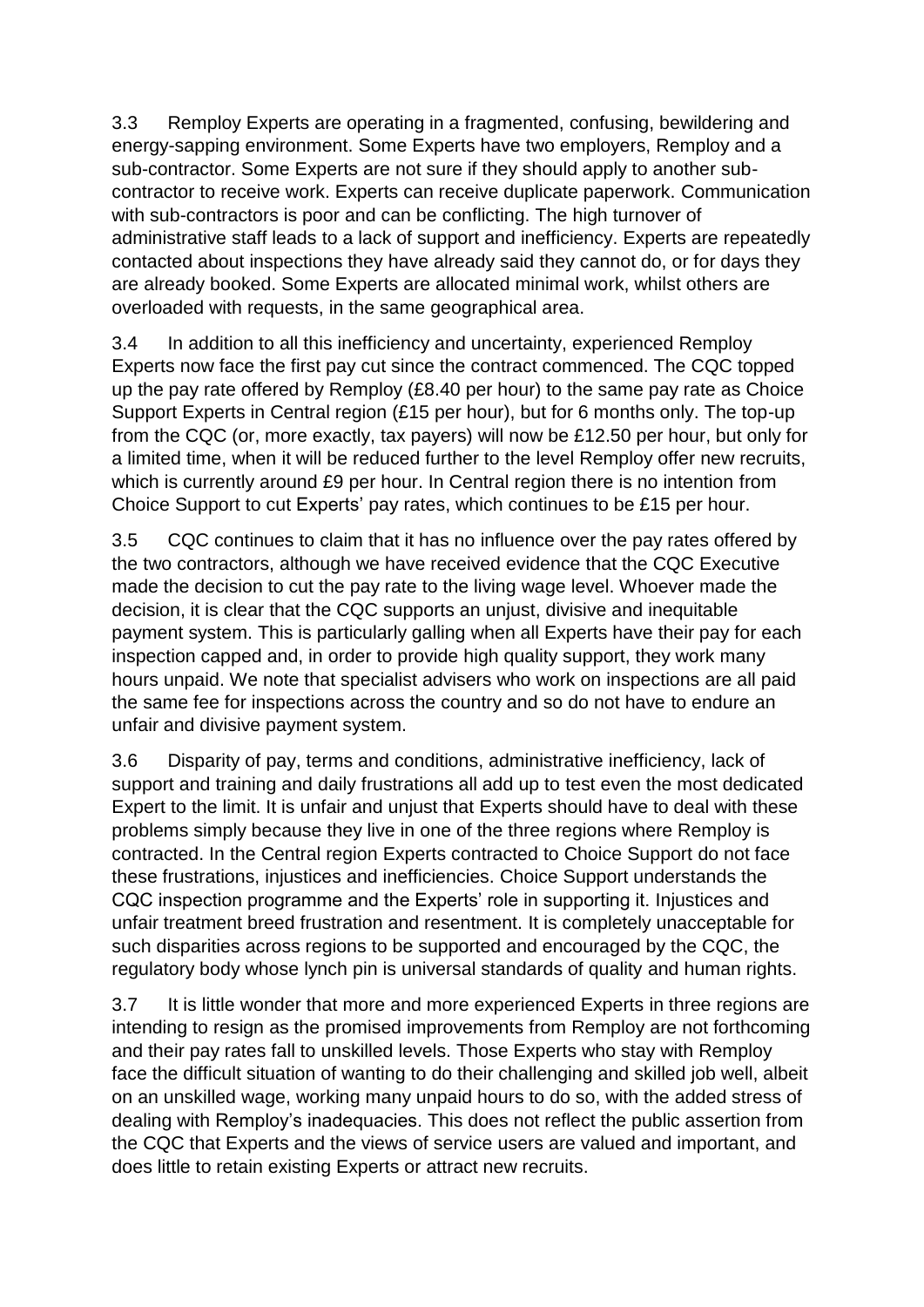$3.3$  energy-sapping environment. Some Experts have two employers, Remploy and a sub-contractor. Some Experts are not sure if they should apply to another sub- with sub-contractors is poor and can be conflicting. The high turnover of overloaded with requests, in the same geographical area. Remploy Experts are operating in a fragmented, confusing, bewildering and contractor to receive work. Experts can receive duplicate paperwork. Communication administrative staff leads to a lack of support and inefficiency. Experts are repeatedly contacted about inspections they have already said they cannot do, or for days they are already booked. Some Experts are allocated minimal work, whilst others are

 up the pay rate offered by Remploy (£8.40 per hour) to the same pay rate as Choice a limited time, when it will be reduced further to the level Remploy offer new recruits, which is currently around £9 per hour. In Central region there is no intention from 3.4 In addition to all this inefficiency and uncertainty, experienced Remploy Experts now face the first pay cut since the contract commenced. The CQC topped Support Experts in Central region (£15 per hour), but for 6 months only. The top-up from the CQC (or, more exactly, tax payers) will now be £12.50 per hour, but only for Choice Support to cut Experts' pay rates, which continues to be £15 per hour.

 3.5 CQC continues to claim that it has no influence over the pay rates offered by made the decision to cut the pay rate to the living wage level. Whoever made the decision, it is clear that the CQC supports an unjust, divisive and inequitable payment system. This is particularly galling when all Experts have their pay for each hours unpaid. We note that specialist advisers who work on inspections are all paid the same fee for inspections across the country and so do not have to endure an the two contractors, although we have received evidence that the CQC Executive inspection capped and, in order to provide high quality support, they work many unfair and divisive payment system.

 support and training and daily frustrations all add up to test even the most dedicated Expert to the limit. It is unfair and unjust that Experts should have to deal with these contracted. In the Central region Experts contracted to Choice Support do not face such disparities across regions to be supported and encouraged by the CQC, the 3.6 Disparity of pay, terms and conditions, administrative inefficiency, lack of problems simply because they live in one of the three regions where Remploy is these frustrations, injustices and inefficiencies. Choice Support understands the CQC inspection programme and the Experts' role in supporting it. Injustices and unfair treatment breed frustration and resentment. It is completely unacceptable for regulatory body whose lynch pin is universal standards of quality and human rights.

 3.7 It is little wonder that more and more experienced Experts in three regions are and their pay rates fall to unskilled levels. Those Experts who stay with Remploy dealing with Remploy's inadequacies. This does not reflect the public assertion from the CQC that Experts and the views of service users are valued and important, and intending to resign as the promised improvements from Remploy are not forthcoming face the difficult situation of wanting to do their challenging and skilled job well, albeit on an unskilled wage, working many unpaid hours to do so, with the added stress of does little to retain existing Experts or attract new recruits.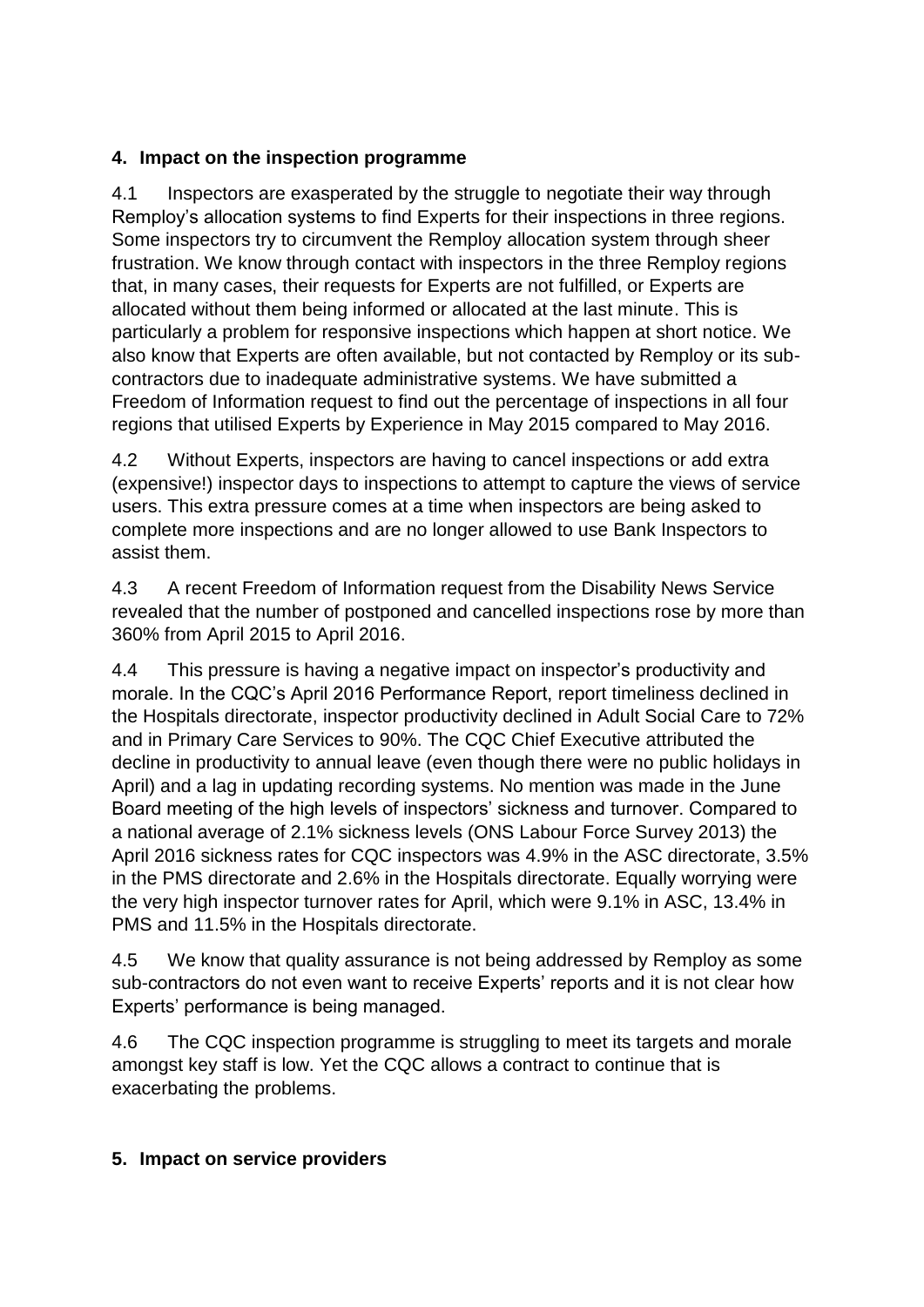### **4. Impact on the inspection programme**

 4.1 Inspectors are exasperated by the struggle to negotiate their way through Remploy's allocation systems to find Experts for their inspections in three regions. Some inspectors try to circumvent the Remploy allocation system through sheer particularly a problem for responsive inspections which happen at short notice. We also know that Experts are often available, but not contacted by Remploy or its sub- Freedom of Information request to find out the percentage of inspections in all four frustration. We know through contact with inspectors in the three Remploy regions that, in many cases, their requests for Experts are not fulfilled, or Experts are allocated without them being informed or allocated at the last minute. This is contractors due to inadequate administrative systems. We have submitted a regions that utilised Experts by Experience in May 2015 compared to May 2016.

 4.2 Without Experts, inspectors are having to cancel inspections or add extra users. This extra pressure comes at a time when inspectors are being asked to assist them. (expensive!) inspector days to inspections to attempt to capture the views of service complete more inspections and are no longer allowed to use Bank Inspectors to

4.3 A recent Freedom of Information request from the Disability News Service revealed that the number of postponed and cancelled inspections rose by more than 360% from April 2015 to April 2016.

 and in Primary Care Services to 90%. The CQC Chief Executive attributed the April) and a lag in updating recording systems. No mention was made in the June in the PMS directorate and 2.6% in the Hospitals directorate. Equally worrying were 4.4 This pressure is having a negative impact on inspector's productivity and morale. In the CQC's April 2016 Performance Report, report timeliness declined in the Hospitals directorate, inspector productivity declined in Adult Social Care to 72% decline in productivity to annual leave (even though there were no public holidays in Board meeting of the high levels of inspectors' sickness and turnover. Compared to a national average of 2.1% sickness levels (ONS Labour Force Survey 2013) the April 2016 sickness rates for CQC inspectors was 4.9% in the ASC directorate, 3.5% the very high inspector turnover rates for April, which were 9.1% in ASC, 13.4% in PMS and 11.5% in the Hospitals directorate.

4.5 We know that quality assurance is not being addressed by Remploy as some sub-contractors do not even want to receive Experts' reports and it is not clear how Experts' performance is being managed.

 4.6 The CQC inspection programme is struggling to meet its targets and morale amongst key staff is low. Yet the CQC allows a contract to continue that is exacerbating the problems.

#### **5. Impact on service providers**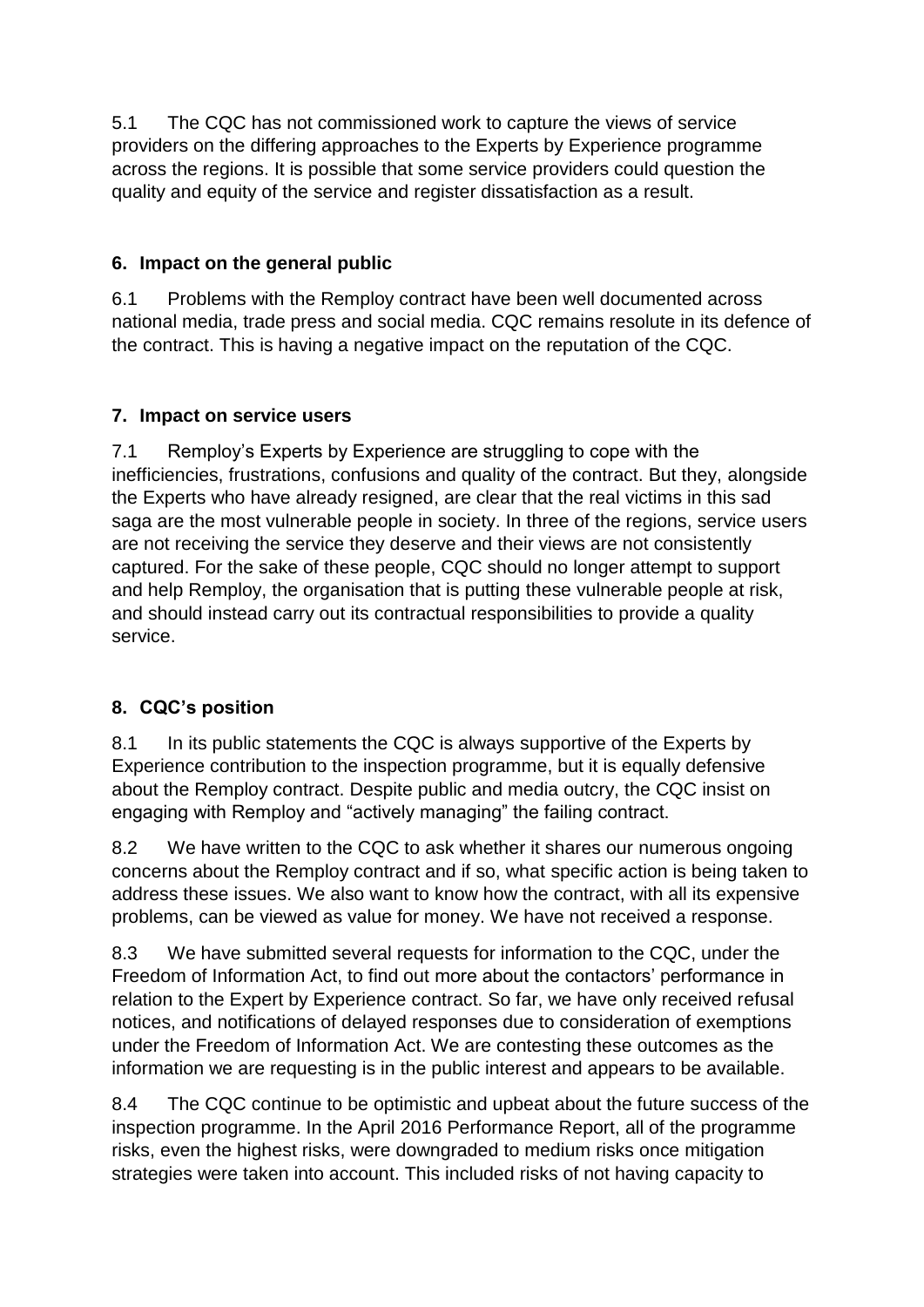providers on the differing approaches to the Experts by Experience programme 5.1 The CQC has not commissioned work to capture the views of service across the regions. It is possible that some service providers could question the quality and equity of the service and register dissatisfaction as a result.

# **6. Impact on the general public**

 6.1 Problems with the Remploy contract have been well documented across the contract. This is having a negative impact on the reputation of the CQC. national media, trade press and social media. CQC remains resolute in its defence of

### **7. Impact on service users**

7.1 Remploy's Experts by Experience are struggling to cope with the inefficiencies, frustrations, confusions and quality of the contract. But they, alongside the Experts who have already resigned, are clear that the real victims in this sad saga are the most vulnerable people in society. In three of the regions, service users are not receiving the service they deserve and their views are not consistently captured. For the sake of these people, CQC should no longer attempt to support and help Remploy, the organisation that is putting these vulnerable people at risk, and should instead carry out its contractual responsibilities to provide a quality service.

# **8. CQC's position**

8.1 In its public statements the CQC is always supportive of the Experts by about the Remploy contract. Despite public and media outcry, the CQC insist on Experience contribution to the inspection programme, but it is equally defensive engaging with Remploy and "actively managing" the failing contract.

8.2 problems, can be viewed as value for money. We have not received a response. We have written to the CQC to ask whether it shares our numerous ongoing concerns about the Remploy contract and if so, what specific action is being taken to address these issues. We also want to know how the contract, with all its expensive

8.3 Freedom of Information Act, to find out more about the contactors' performance in information we are requesting is in the public interest and appears to be available. We have submitted several requests for information to the CQC, under the relation to the Expert by Experience contract. So far, we have only received refusal notices, and notifications of delayed responses due to consideration of exemptions under the Freedom of Information Act. We are contesting these outcomes as the

 8.4 The CQC continue to be optimistic and upbeat about the future success of the inspection programme. In the April 2016 Performance Report, all of the programme strategies were taken into account. This included risks of not having capacity to risks, even the highest risks, were downgraded to medium risks once mitigation